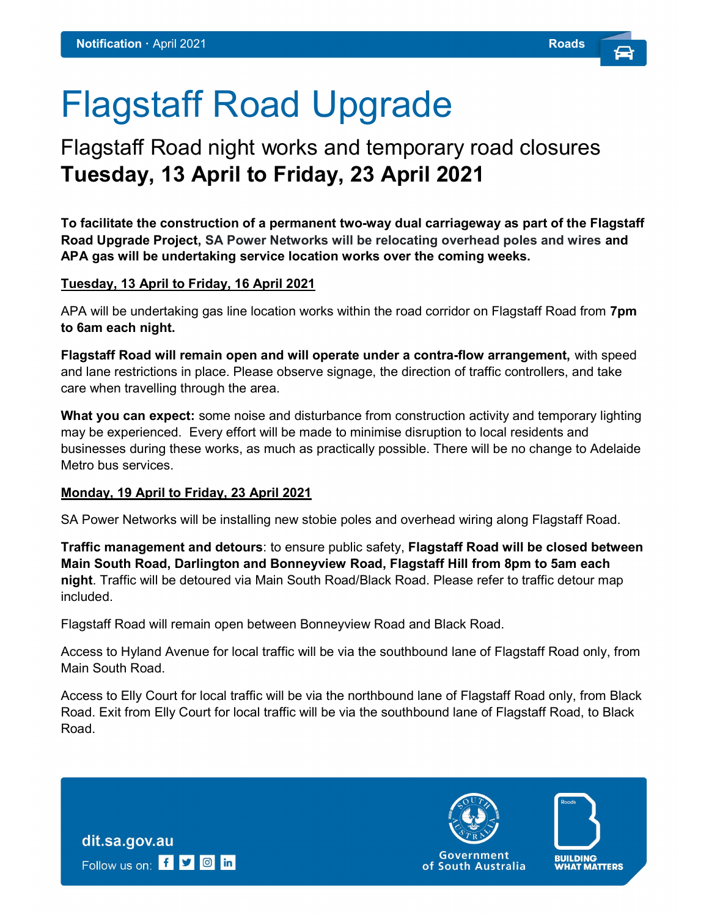# Flagstaff Road Upgrade

### Flagstaff Road night works and temporary road closures Tuesday, 13 April to Friday, 23 April 2021

To facilitate the construction of a permanent two-way dual carriageway as part of the Flagstaff Road Upgrade Project, SA Power Networks will be relocating overhead poles and wires and APA gas will be undertaking service location works over the coming weeks.

#### Tuesday, 13 April to Friday, 16 April 2021

APA will be undertaking gas line location works within the road corridor on Flagstaff Road from 7pm to 6am each night.

Flagstaff Road will remain open and will operate under a contra-flow arrangement, with speed and lane restrictions in place. Please observe signage, the direction of traffic controllers, and take care when travelling through the area.

What you can expect: some noise and disturbance from construction activity and temporary lighting may be experienced. Every effort will be made to minimise disruption to local residents and businesses during these works, as much as practically possible. There will be no change to Adelaide Metro bus services.

#### Monday, 19 April to Friday, 23 April 2021

SA Power Networks will be installing new stobie poles and overhead wiring along Flagstaff Road.

Traffic management and detours: to ensure public safety, Flagstaff Road will be closed between Main South Road, Darlington and Bonneyview Road, Flagstaff Hill from 8pm to 5am each night. Traffic will be detoured via Main South Road/Black Road. Please refer to traffic detour map included.

Flagstaff Road will remain open between Bonneyview Road and Black Road.

Access to Hyland Avenue for local traffic will be via the southbound lane of Flagstaff Road only, from Main South Road.

Access to Elly Court for local traffic will be via the northbound lane of Flagstaff Road only, from Black Road. Exit from Elly Court for local traffic will be via the southbound lane of Flagstaff Road, to Black Road.

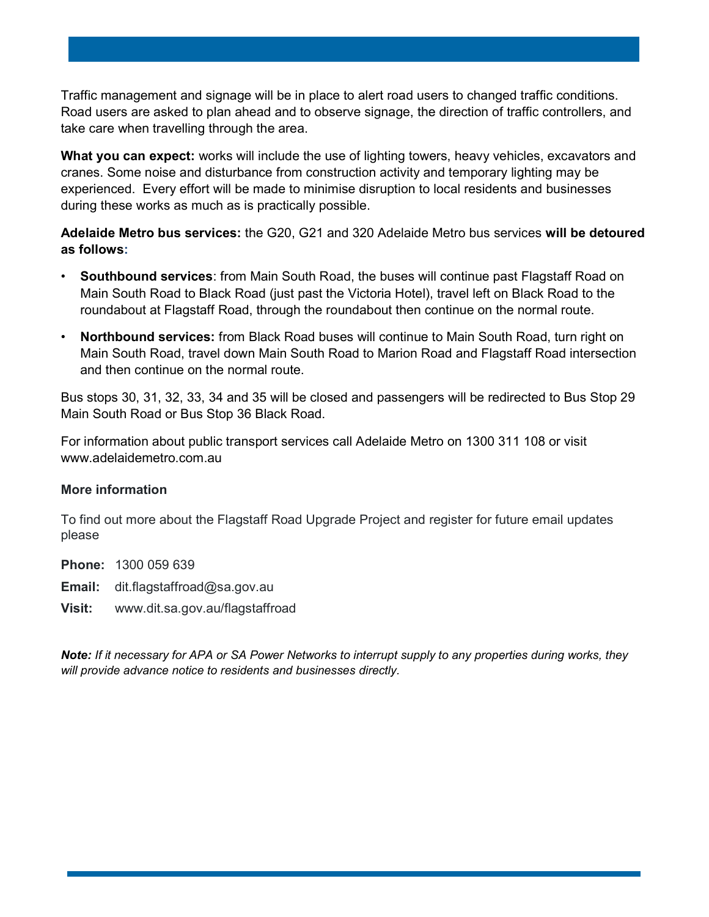Traffic management and signage will be in place to alert road users to changed traffic conditions. Road users are asked to plan ahead and to observe signage, the direction of traffic controllers, and take care when travelling through the area.

What you can expect: works will include the use of lighting towers, heavy vehicles, excavators and cranes. Some noise and disturbance from construction activity and temporary lighting may be experienced. Every effort will be made to minimise disruption to local residents and businesses during these works as much as is practically possible.

Adelaide Metro bus services: the G20, G21 and 320 Adelaide Metro bus services will be detoured as follows:

- Southbound services: from Main South Road, the buses will continue past Flagstaff Road on Main South Road to Black Road (just past the Victoria Hotel), travel left on Black Road to the roundabout at Flagstaff Road, through the roundabout then continue on the normal route.
- Northbound services: from Black Road buses will continue to Main South Road, turn right on Main South Road, travel down Main South Road to Marion Road and Flagstaff Road intersection and then continue on the normal route.

Bus stops 30, 31, 32, 33, 34 and 35 will be closed and passengers will be redirected to Bus Stop 29 Main South Road or Bus Stop 36 Black Road.

For information about public transport services call Adelaide Metro on 1300 311 108 or visit www.adelaidemetro.com.au

#### More information

To find out more about the Flagstaff Road Upgrade Project and register for future email updates please

Phone: 1300 059 639

- **Email:** dit.flagstaffroad@sa.gov.au
- Visit: www.dit.sa.gov.au/flagstaffroad

Note: If it necessary for APA or SA Power Networks to interrupt supply to any properties during works, they will provide advance notice to residents and businesses directly.